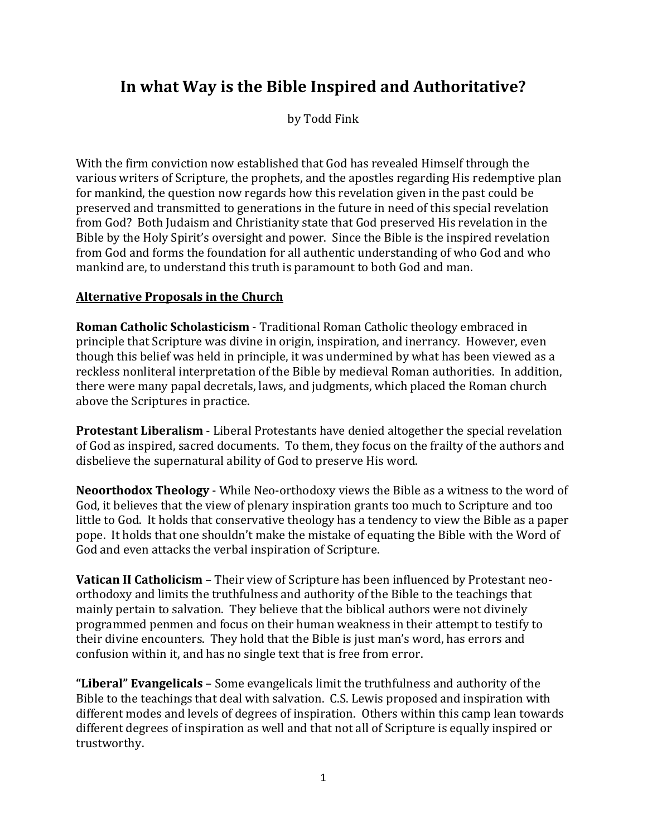# **In what Way is the Bible Inspired and Authoritative?**

by Todd Fink

With the firm conviction now established that God has revealed Himself through the various writers of Scripture, the prophets, and the apostles regarding His redemptive plan for mankind, the question now regards how this revelation given in the past could be preserved and transmitted to generations in the future in need of this special revelation from God? Both Judaism and Christianity state that God preserved His revelation in the Bible by the Holy Spirit's oversight and power. Since the Bible is the inspired revelation from God and forms the foundation for all authentic understanding of who God and who mankind are, to understand this truth is paramount to both God and man.

# **Alternative Proposals in the Church**

**Roman Catholic Scholasticism** - Traditional Roman Catholic theology embraced in principle that Scripture was divine in origin, inspiration, and inerrancy. However, even though this belief was held in principle, it was undermined by what has been viewed as a reckless nonliteral interpretation of the Bible by medieval Roman authorities. In addition, there were many papal decretals, laws, and judgments, which placed the Roman church above the Scriptures in practice.

**Protestant Liberalism** - Liberal Protestants have denied altogether the special revelation of God as inspired, sacred documents. To them, they focus on the frailty of the authors and disbelieve the supernatural ability of God to preserve His word.

**Neoorthodox Theology** - While Neo-orthodoxy views the Bible as a witness to the word of God, it believes that the view of plenary inspiration grants too much to Scripture and too little to God. It holds that conservative theology has a tendency to view the Bible as a paper pope. It holds that one shouldn't make the mistake of equating the Bible with the Word of God and even attacks the verbal inspiration of Scripture.

**Vatican II Catholicism** – Their view of Scripture has been influenced by Protestant neoorthodoxy and limits the truthfulness and authority of the Bible to the teachings that mainly pertain to salvation. They believe that the biblical authors were not divinely programmed penmen and focus on their human weakness in their attempt to testify to their divine encounters. They hold that the Bible is just man's word, has errors and confusion within it, and has no single text that is free from error.

**"Liberal" Evangelicals** – Some evangelicals limit the truthfulness and authority of the Bible to the teachings that deal with salvation. C.S. Lewis proposed and inspiration with different modes and levels of degrees of inspiration. Others within this camp lean towards different degrees of inspiration as well and that not all of Scripture is equally inspired or trustworthy.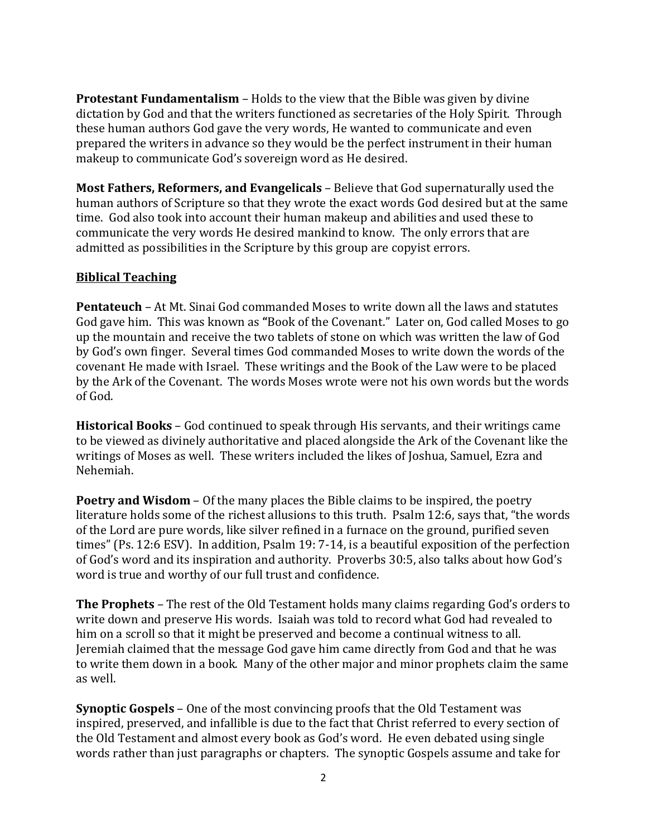**Protestant Fundamentalism** – Holds to the view that the Bible was given by divine dictation by God and that the writers functioned as secretaries of the Holy Spirit. Through these human authors God gave the very words, He wanted to communicate and even prepared the writers in advance so they would be the perfect instrument in their human makeup to communicate God's sovereign word as He desired.

**Most Fathers, Reformers, and Evangelicals** – Believe that God supernaturally used the human authors of Scripture so that they wrote the exact words God desired but at the same time. God also took into account their human makeup and abilities and used these to communicate the very words He desired mankind to know. The only errors that are admitted as possibilities in the Scripture by this group are copyist errors.

## **Biblical Teaching**

**Pentateuch** – At Mt. Sinai God commanded Moses to write down all the laws and statutes God gave him. This was known as **"**Book of the Covenant." Later on, God called Moses to go up the mountain and receive the two tablets of stone on which was written the law of God by God's own finger. Several times God commanded Moses to write down the words of the covenant He made with Israel. These writings and the Book of the Law were to be placed by the Ark of the Covenant. The words Moses wrote were not his own words but the words of God.

**Historical Books** – God continued to speak through His servants, and their writings came to be viewed as divinely authoritative and placed alongside the Ark of the Covenant like the writings of Moses as well. These writers included the likes of Joshua, Samuel, Ezra and Nehemiah.

**Poetry and Wisdom** – Of the many places the Bible claims to be inspired, the poetry literature holds some of the richest allusions to this truth. Psalm 12:6, says that, "the words of the Lord are pure words, like silver refined in a furnace on the ground, purified seven times" (Ps. 12:6 ESV). In addition, Psalm 19: 7-14, is a beautiful exposition of the perfection of God's word and its inspiration and authority. Proverbs 30:5, also talks about how God's word is true and worthy of our full trust and confidence.

**The Prophets** – The rest of the Old Testament holds many claims regarding God's orders to write down and preserve His words. Isaiah was told to record what God had revealed to him on a scroll so that it might be preserved and become a continual witness to all. Jeremiah claimed that the message God gave him came directly from God and that he was to write them down in a book. Many of the other major and minor prophets claim the same as well.

**Synoptic Gospels** – One of the most convincing proofs that the Old Testament was inspired, preserved, and infallible is due to the fact that Christ referred to every section of the Old Testament and almost every book as God's word. He even debated using single words rather than just paragraphs or chapters. The synoptic Gospels assume and take for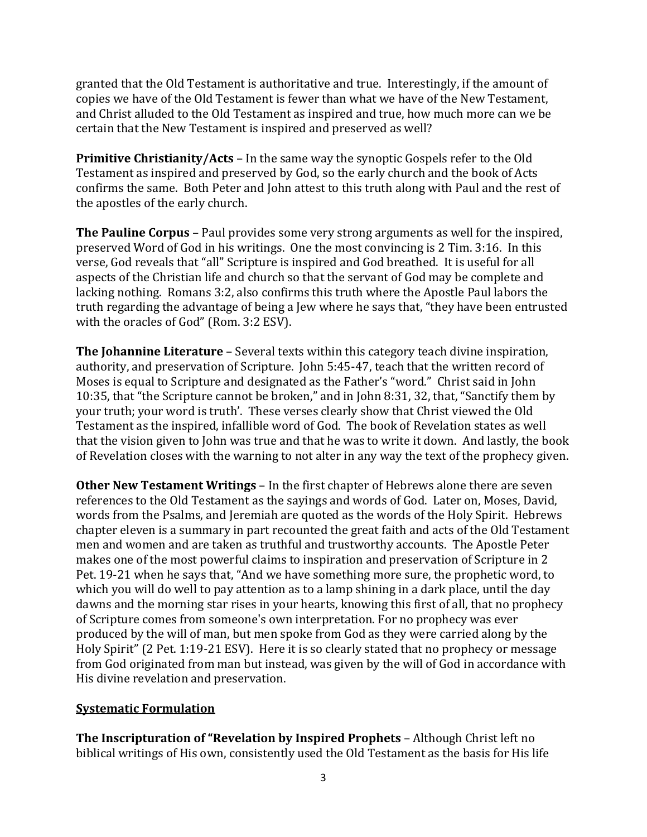granted that the Old Testament is authoritative and true. Interestingly, if the amount of copies we have of the Old Testament is fewer than what we have of the New Testament, and Christ alluded to the Old Testament as inspired and true, how much more can we be certain that the New Testament is inspired and preserved as well?

**Primitive Christianity/Acts** – In the same way the synoptic Gospels refer to the Old Testament as inspired and preserved by God, so the early church and the book of Acts confirms the same. Both Peter and John attest to this truth along with Paul and the rest of the apostles of the early church.

**The Pauline Corpus** – Paul provides some very strong arguments as well for the inspired, preserved Word of God in his writings. One the most convincing is 2 Tim. 3:16. In this verse, God reveals that "all" Scripture is inspired and God breathed. It is useful for all aspects of the Christian life and church so that the servant of God may be complete and lacking nothing. Romans 3:2, also confirms this truth where the Apostle Paul labors the truth regarding the advantage of being a Jew where he says that, "they have been entrusted with the oracles of God" (Rom. 3:2 ESV).

**The Johannine Literature** – Several texts within this category teach divine inspiration, authority, and preservation of Scripture. John 5:45-47, teach that the written record of Moses is equal to Scripture and designated as the Father's "word." Christ said in John 10:35, that "the Scripture cannot be broken," and in John 8:31, 32, that, "Sanctify them by your truth; your word is truth'. These verses clearly show that Christ viewed the Old Testament as the inspired, infallible word of God. The book of Revelation states as well that the vision given to John was true and that he was to write it down. And lastly, the book of Revelation closes with the warning to not alter in any way the text of the prophecy given.

**Other New Testament Writings** – In the first chapter of Hebrews alone there are seven references to the Old Testament as the sayings and words of God. Later on, Moses, David, words from the Psalms, and Jeremiah are quoted as the words of the Holy Spirit. Hebrews chapter eleven is a summary in part recounted the great faith and acts of the Old Testament men and women and are taken as truthful and trustworthy accounts. The Apostle Peter makes one of the most powerful claims to inspiration and preservation of Scripture in 2 Pet. 19-21 when he says that, "And we have something more sure, the prophetic word, to which you will do well to pay attention as to a lamp shining in a dark place, until the day dawns and the morning star rises in your hearts, knowing this first of all, that no prophecy of Scripture comes from someone's own interpretation. For no prophecy was ever produced by the will of man, but men spoke from God as they were carried along by the Holy Spirit" (2 Pet. 1:19-21 ESV). Here it is so clearly stated that no prophecy or message from God originated from man but instead, was given by the will of God in accordance with His divine revelation and preservation.

#### **Systematic Formulation**

**The Inscripturation of "Revelation by Inspired Prophets** – Although Christ left no biblical writings of His own, consistently used the Old Testament as the basis for His life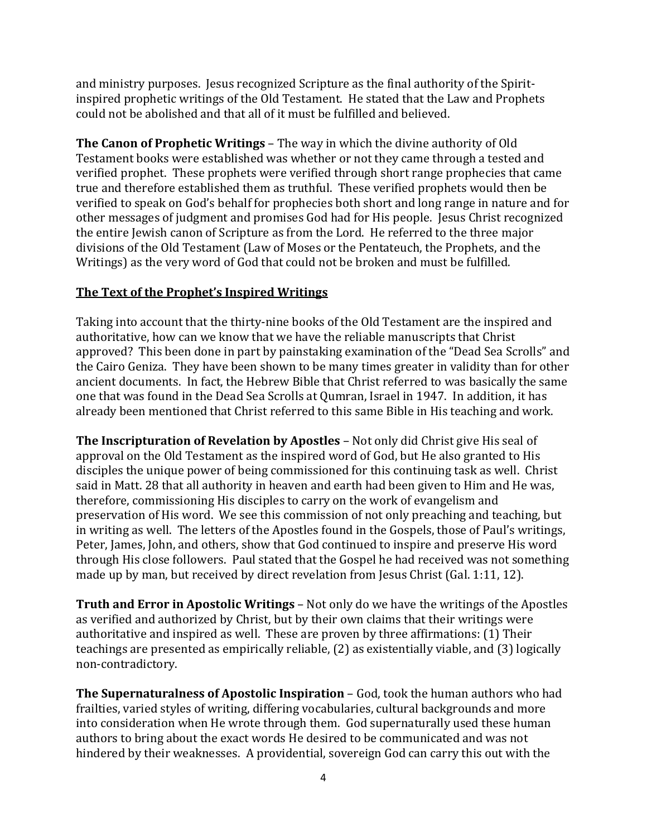and ministry purposes. Jesus recognized Scripture as the final authority of the Spiritinspired prophetic writings of the Old Testament. He stated that the Law and Prophets could not be abolished and that all of it must be fulfilled and believed.

**The Canon of Prophetic Writings** – The way in which the divine authority of Old Testament books were established was whether or not they came through a tested and verified prophet. These prophets were verified through short range prophecies that came true and therefore established them as truthful. These verified prophets would then be verified to speak on God's behalf for prophecies both short and long range in nature and for other messages of judgment and promises God had for His people. Jesus Christ recognized the entire Jewish canon of Scripture as from the Lord. He referred to the three major divisions of the Old Testament (Law of Moses or the Pentateuch, the Prophets, and the Writings) as the very word of God that could not be broken and must be fulfilled.

## **The Text of the Prophet's Inspired Writings**

Taking into account that the thirty-nine books of the Old Testament are the inspired and authoritative, how can we know that we have the reliable manuscripts that Christ approved? This been done in part by painstaking examination of the "Dead Sea Scrolls" and the Cairo Geniza. They have been shown to be many times greater in validity than for other ancient documents. In fact, the Hebrew Bible that Christ referred to was basically the same one that was found in the Dead Sea Scrolls at Qumran, Israel in 1947. In addition, it has already been mentioned that Christ referred to this same Bible in His teaching and work.

**The Inscripturation of Revelation by Apostles** – Not only did Christ give His seal of approval on the Old Testament as the inspired word of God, but He also granted to His disciples the unique power of being commissioned for this continuing task as well. Christ said in Matt. 28 that all authority in heaven and earth had been given to Him and He was, therefore, commissioning His disciples to carry on the work of evangelism and preservation of His word. We see this commission of not only preaching and teaching, but in writing as well. The letters of the Apostles found in the Gospels, those of Paul's writings, Peter, James, John, and others, show that God continued to inspire and preserve His word through His close followers. Paul stated that the Gospel he had received was not something made up by man, but received by direct revelation from Jesus Christ (Gal. 1:11, 12).

**Truth and Error in Apostolic Writings** – Not only do we have the writings of the Apostles as verified and authorized by Christ, but by their own claims that their writings were authoritative and inspired as well. These are proven by three affirmations: (1) Their teachings are presented as empirically reliable, (2) as existentially viable, and (3) logically non-contradictory.

**The Supernaturalness of Apostolic Inspiration** – God, took the human authors who had frailties, varied styles of writing, differing vocabularies, cultural backgrounds and more into consideration when He wrote through them. God supernaturally used these human authors to bring about the exact words He desired to be communicated and was not hindered by their weaknesses. A providential, sovereign God can carry this out with the